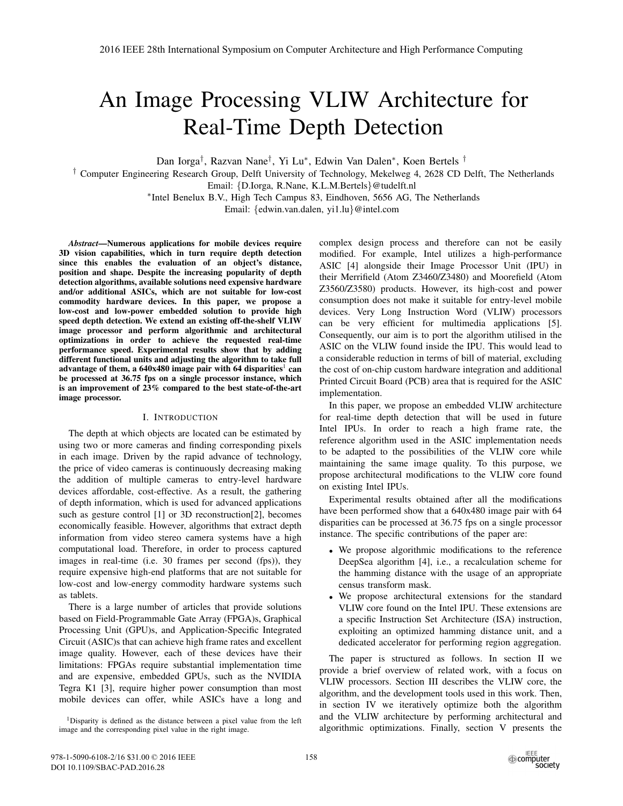# An Image Processing VLIW Architecture for Real-Time Depth Detection

Dan Iorga†, Razvan Nane†, Yi Lu∗, Edwin Van Dalen∗, Koen Bertels †

† Computer Engineering Research Group, Delft University of Technology, Mekelweg 4, 2628 CD Delft, The Netherlands

Email: {D.Iorga, R.Nane, K.L.M.Bertels}@tudelft.nl

∗Intel Benelux B.V., High Tech Campus 83, Eindhoven, 5656 AG, The Netherlands

Email: {edwin.van.dalen, yi1.lu}@intel.com

*Abstract*—Numerous applications for mobile devices require 3D vision capabilities, which in turn require depth detection since this enables the evaluation of an object's distance, position and shape. Despite the increasing popularity of depth detection algorithms, available solutions need expensive hardware and/or additional ASICs, which are not suitable for low-cost commodity hardware devices. In this paper, we propose a low-cost and low-power embedded solution to provide high speed depth detection. We extend an existing off-the-shelf VLIW image processor and perform algorithmic and architectural optimizations in order to achieve the requested real-time performance speed. Experimental results show that by adding different functional units and adjusting the algorithm to take full advantage of them, a  $640x480$  image pair with  $64$  disparities<sup>1</sup> can be processed at 36.75 fps on a single processor instance, which is an improvement of 23% compared to the best state-of-the-art image processor.

# I. INTRODUCTION

The depth at which objects are located can be estimated by using two or more cameras and finding corresponding pixels in each image. Driven by the rapid advance of technology, the price of video cameras is continuously decreasing making the addition of multiple cameras to entry-level hardware devices affordable, cost-effective. As a result, the gathering of depth information, which is used for advanced applications such as gesture control [1] or 3D reconstruction[2], becomes economically feasible. However, algorithms that extract depth information from video stereo camera systems have a high computational load. Therefore, in order to process captured images in real-time (i.e. 30 frames per second (fps)), they require expensive high-end platforms that are not suitable for low-cost and low-energy commodity hardware systems such as tablets.

There is a large number of articles that provide solutions based on Field-Programmable Gate Array (FPGA)s, Graphical Processing Unit (GPU)s, and Application-Specific Integrated Circuit (ASIC)s that can achieve high frame rates and excellent image quality. However, each of these devices have their limitations: FPGAs require substantial implementation time and are expensive, embedded GPUs, such as the NVIDIA Tegra K1 [3], require higher power consumption than most mobile devices can offer, while ASICs have a long and

<sup>1</sup>Disparity is defined as the distance between a pixel value from the left image and the corresponding pixel value in the right image.

complex design process and therefore can not be easily modified. For example, Intel utilizes a high-performance ASIC [4] alongside their Image Processor Unit (IPU) in their Merrifield (Atom Z3460/Z3480) and Moorefield (Atom Z3560/Z3580) products. However, its high-cost and power consumption does not make it suitable for entry-level mobile devices. Very Long Instruction Word (VLIW) processors can be very efficient for multimedia applications [5]. Consequently, our aim is to port the algorithm utilised in the ASIC on the VLIW found inside the IPU. This would lead to a considerable reduction in terms of bill of material, excluding the cost of on-chip custom hardware integration and additional Printed Circuit Board (PCB) area that is required for the ASIC implementation.

In this paper, we propose an embedded VLIW architecture for real-time depth detection that will be used in future Intel IPUs. In order to reach a high frame rate, the reference algorithm used in the ASIC implementation needs to be adapted to the possibilities of the VLIW core while maintaining the same image quality. To this purpose, we propose architectural modifications to the VLIW core found on existing Intel IPUs.

Experimental results obtained after all the modifications have been performed show that a 640x480 image pair with 64 disparities can be processed at 36.75 fps on a single processor instance. The specific contributions of the paper are:

- We propose algorithmic modifications to the reference DeepSea algorithm [4], i.e., a recalculation scheme for the hamming distance with the usage of an appropriate census transform mask.
- We propose architectural extensions for the standard VLIW core found on the Intel IPU. These extensions are a specific Instruction Set Architecture (ISA) instruction, exploiting an optimized hamming distance unit, and a dedicated accelerator for performing region aggregation.

The paper is structured as follows. In section II we provide a brief overview of related work, with a focus on VLIW processors. Section III describes the VLIW core, the algorithm, and the development tools used in this work. Then, in section IV we iteratively optimize both the algorithm and the VLIW architecture by performing architectural and algorithmic optimizations. Finally, section V presents the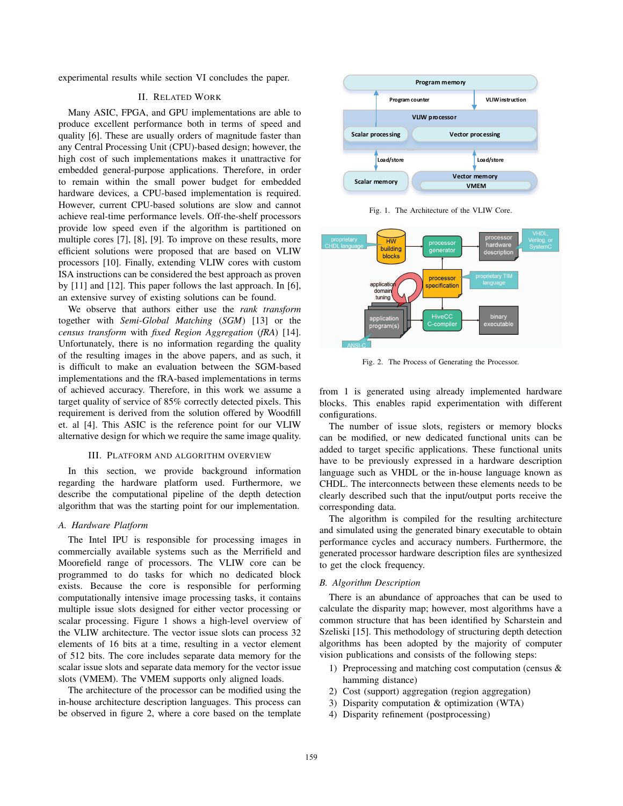experimental results while section VI concludes the paper.

# II. RELATED WORK

Many ASIC, FPGA, and GPU implementations are able to produce excellent performance both in terms of speed and quality [6]. These are usually orders of magnitude faster than any Central Processing Unit (CPU)-based design; however, the high cost of such implementations makes it unattractive for embedded general-purpose applications. Therefore, in order to remain within the small power budget for embedded hardware devices, a CPU-based implementation is required. However, current CPU-based solutions are slow and cannot achieve real-time performance levels. Off-the-shelf processors provide low speed even if the algorithm is partitioned on multiple cores [7], [8], [9]. To improve on these results, more efficient solutions were proposed that are based on VLIW processors [10]. Finally, extending VLIW cores with custom ISA instructions can be considered the best approach as proven by [11] and [12]. This paper follows the last approach. In [6], an extensive survey of existing solutions can be found.

We observe that authors either use the *rank transform* together with *Semi-Global Matching* (*SGM*) [13] or the *census transform* with *fixed Region Aggregation* (*fRA*) [14]. Unfortunately, there is no information regarding the quality of the resulting images in the above papers, and as such, it is difficult to make an evaluation between the SGM-based implementations and the fRA-based implementations in terms of achieved accuracy. Therefore, in this work we assume a target quality of service of 85% correctly detected pixels. This requirement is derived from the solution offered by Woodfill et. al [4]. This ASIC is the reference point for our VLIW alternative design for which we require the same image quality.

#### III. PLATFORM AND ALGORITHM OVERVIEW

In this section, we provide background information regarding the hardware platform used. Furthermore, we describe the computational pipeline of the depth detection algorithm that was the starting point for our implementation.

# *A. Hardware Platform*

The Intel IPU is responsible for processing images in commercially available systems such as the Merrifield and Moorefield range of processors. The VLIW core can be programmed to do tasks for which no dedicated block exists. Because the core is responsible for performing computationally intensive image processing tasks, it contains multiple issue slots designed for either vector processing or scalar processing. Figure 1 shows a high-level overview of the VLIW architecture. The vector issue slots can process 32 elements of 16 bits at a time, resulting in a vector element of 512 bits. The core includes separate data memory for the scalar issue slots and separate data memory for the vector issue slots (VMEM). The VMEM supports only aligned loads.

The architecture of the processor can be modified using the in-house architecture description languages. This process can be observed in figure 2, where a core based on the template



Fig. 1. The Architecture of the VLIW Core.



Fig. 2. The Process of Generating the Processor.

from 1 is generated using already implemented hardware blocks. This enables rapid experimentation with different configurations.

The number of issue slots, registers or memory blocks can be modified, or new dedicated functional units can be added to target specific applications. These functional units have to be previously expressed in a hardware description language such as VHDL or the in-house language known as CHDL. The interconnects between these elements needs to be clearly described such that the input/output ports receive the corresponding data.

The algorithm is compiled for the resulting architecture and simulated using the generated binary executable to obtain performance cycles and accuracy numbers. Furthermore, the generated processor hardware description files are synthesized to get the clock frequency.

#### *B. Algorithm Description*

There is an abundance of approaches that can be used to calculate the disparity map; however, most algorithms have a common structure that has been identified by Scharstein and Szeliski [15]. This methodology of structuring depth detection algorithms has been adopted by the majority of computer vision publications and consists of the following steps:

- 1) Preprocessing and matching cost computation (census & hamming distance)
- 2) Cost (support) aggregation (region aggregation)
- 3) Disparity computation & optimization (WTA)
- 4) Disparity refinement (postprocessing)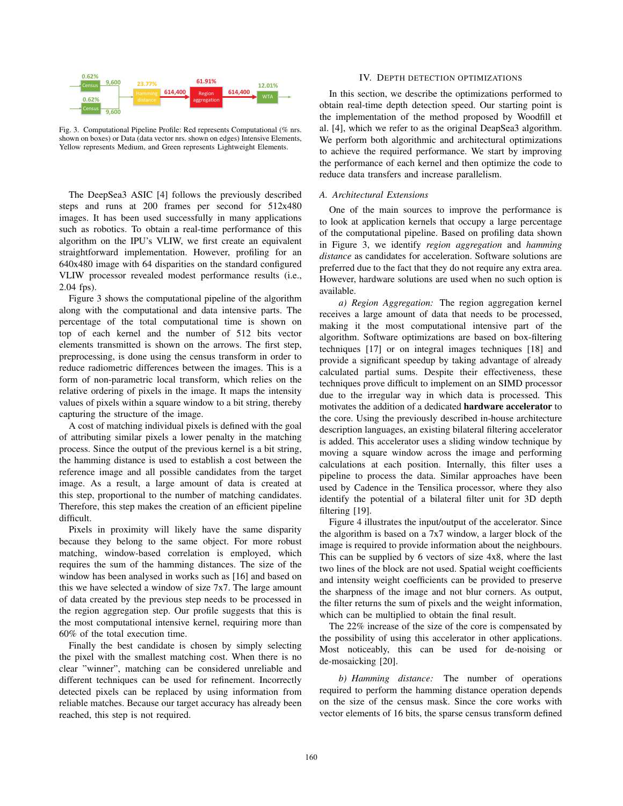

Fig. 3. Computational Pipeline Profile: Red represents Computational (% nrs. shown on boxes) or Data (data vector nrs. shown on edges) Intensive Elements, Yellow represents Medium, and Green represents Lightweight Elements.

The DeepSea3 ASIC [4] follows the previously described steps and runs at 200 frames per second for 512x480 images. It has been used successfully in many applications such as robotics. To obtain a real-time performance of this algorithm on the IPU's VLIW, we first create an equivalent straightforward implementation. However, profiling for an 640x480 image with 64 disparities on the standard configured VLIW processor revealed modest performance results (i.e., 2.04 fps).

Figure 3 shows the computational pipeline of the algorithm along with the computational and data intensive parts. The percentage of the total computational time is shown on top of each kernel and the number of 512 bits vector elements transmitted is shown on the arrows. The first step, preprocessing, is done using the census transform in order to reduce radiometric differences between the images. This is a form of non-parametric local transform, which relies on the relative ordering of pixels in the image. It maps the intensity values of pixels within a square window to a bit string, thereby capturing the structure of the image.

A cost of matching individual pixels is defined with the goal of attributing similar pixels a lower penalty in the matching process. Since the output of the previous kernel is a bit string, the hamming distance is used to establish a cost between the reference image and all possible candidates from the target image. As a result, a large amount of data is created at this step, proportional to the number of matching candidates. Therefore, this step makes the creation of an efficient pipeline difficult.

Pixels in proximity will likely have the same disparity because they belong to the same object. For more robust matching, window-based correlation is employed, which requires the sum of the hamming distances. The size of the window has been analysed in works such as [16] and based on this we have selected a window of size 7x7. The large amount of data created by the previous step needs to be processed in the region aggregation step. Our profile suggests that this is the most computational intensive kernel, requiring more than 60% of the total execution time.

Finally the best candidate is chosen by simply selecting the pixel with the smallest matching cost. When there is no clear "winner", matching can be considered unreliable and different techniques can be used for refinement. Incorrectly detected pixels can be replaced by using information from reliable matches. Because our target accuracy has already been reached, this step is not required.

# IV. DEPTH DETECTION OPTIMIZATIONS

In this section, we describe the optimizations performed to obtain real-time depth detection speed. Our starting point is the implementation of the method proposed by Woodfill et al. [4], which we refer to as the original DeapSea3 algorithm. We perform both algorithmic and architectural optimizations to achieve the required performance. We start by improving the performance of each kernel and then optimize the code to reduce data transfers and increase parallelism.

#### *A. Architectural Extensions*

One of the main sources to improve the performance is to look at application kernels that occupy a large percentage of the computational pipeline. Based on profiling data shown in Figure 3, we identify *region aggregation* and *hamming distance* as candidates for acceleration. Software solutions are preferred due to the fact that they do not require any extra area. However, hardware solutions are used when no such option is available.

*a) Region Aggregation:* The region aggregation kernel receives a large amount of data that needs to be processed, making it the most computational intensive part of the algorithm. Software optimizations are based on box-filtering techniques [17] or on integral images techniques [18] and provide a significant speedup by taking advantage of already calculated partial sums. Despite their effectiveness, these techniques prove difficult to implement on an SIMD processor due to the irregular way in which data is processed. This motivates the addition of a dedicated hardware accelerator to the core. Using the previously described in-house architecture description languages, an existing bilateral filtering accelerator is added. This accelerator uses a sliding window technique by moving a square window across the image and performing calculations at each position. Internally, this filter uses a pipeline to process the data. Similar approaches have been used by Cadence in the Tensilica processor, where they also identify the potential of a bilateral filter unit for 3D depth filtering [19].

Figure 4 illustrates the input/output of the accelerator. Since the algorithm is based on a 7x7 window, a larger block of the image is required to provide information about the neighbours. This can be supplied by 6 vectors of size 4x8, where the last two lines of the block are not used. Spatial weight coefficients and intensity weight coefficients can be provided to preserve the sharpness of the image and not blur corners. As output, the filter returns the sum of pixels and the weight information, which can be multiplied to obtain the final result.

The 22% increase of the size of the core is compensated by the possibility of using this accelerator in other applications. Most noticeably, this can be used for de-noising or de-mosaicking [20].

*b) Hamming distance:* The number of operations required to perform the hamming distance operation depends on the size of the census mask. Since the core works with vector elements of 16 bits, the sparse census transform defined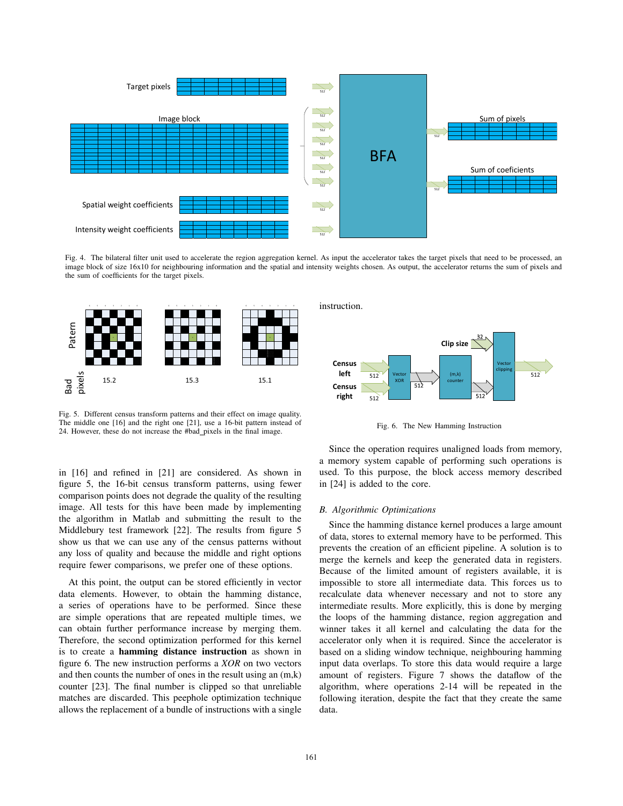

Fig. 4. The bilateral filter unit used to accelerate the region aggregation kernel. As input the accelerator takes the target pixels that need to be processed, an image block of size 16x10 for neighbouring information and the spatial and intensity weights chosen. As output, the accelerator returns the sum of pixels and the sum of coefficients for the target pixels.



Fig. 5. Different census transform patterns and their effect on image quality. The middle one [16] and the right one [21], use a 16-bit pattern instead of 24. However, these do not increase the #bad pixels in the final image.

instruction.



Fig. 6. The New Hamming Instruction

in [16] and refined in [21] are considered. As shown in figure 5, the 16-bit census transform patterns, using fewer comparison points does not degrade the quality of the resulting image. All tests for this have been made by implementing the algorithm in Matlab and submitting the result to the Middlebury test framework [22]. The results from figure 5 show us that we can use any of the census patterns without any loss of quality and because the middle and right options require fewer comparisons, we prefer one of these options.

At this point, the output can be stored efficiently in vector data elements. However, to obtain the hamming distance, a series of operations have to be performed. Since these are simple operations that are repeated multiple times, we can obtain further performance increase by merging them. Therefore, the second optimization performed for this kernel is to create a hamming distance instruction as shown in figure 6. The new instruction performs a *XOR* on two vectors and then counts the number of ones in the result using an (m,k) counter [23]. The final number is clipped so that unreliable matches are discarded. This peephole optimization technique allows the replacement of a bundle of instructions with a single

Since the operation requires unaligned loads from memory, a memory system capable of performing such operations is used. To this purpose, the block access memory described in [24] is added to the core.

#### *B. Algorithmic Optimizations*

Since the hamming distance kernel produces a large amount of data, stores to external memory have to be performed. This prevents the creation of an efficient pipeline. A solution is to merge the kernels and keep the generated data in registers. Because of the limited amount of registers available, it is impossible to store all intermediate data. This forces us to recalculate data whenever necessary and not to store any intermediate results. More explicitly, this is done by merging the loops of the hamming distance, region aggregation and winner takes it all kernel and calculating the data for the accelerator only when it is required. Since the accelerator is based on a sliding window technique, neighbouring hamming input data overlaps. To store this data would require a large amount of registers. Figure 7 shows the dataflow of the algorithm, where operations 2-14 will be repeated in the following iteration, despite the fact that they create the same data.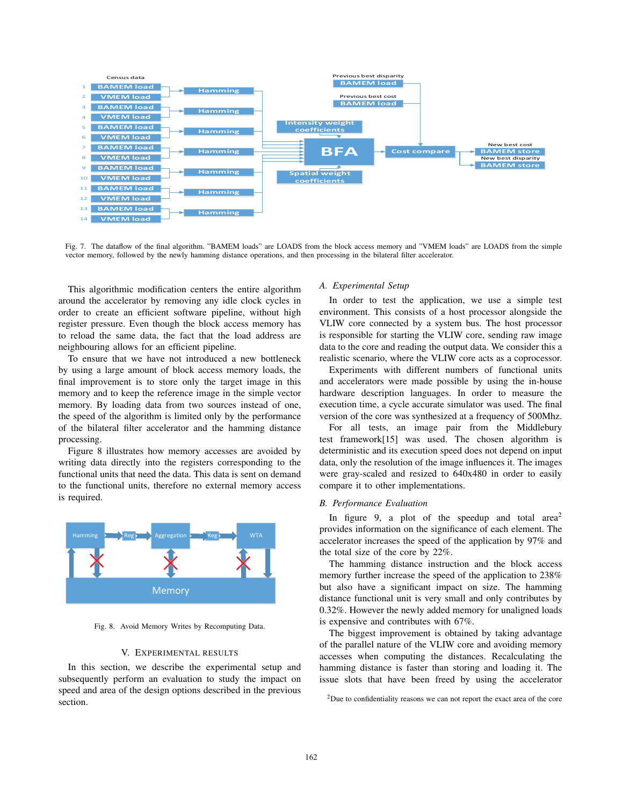

Fig. 7. The dataflow of the final algorithm. "BAMEM loads" are LOADS from the block access memory and "VMEM loads" are LOADS from the simple vector memory, followed by the newly hamming distance operations, and then processing in the bilateral filter accelerator.

This algorithmic modification centers the entire algorithm around the accelerator by removing any idle clock cycles in order to create an efficient software pipeline, without high register pressure. Even though the block access memory has to reload the same data, the fact that the load address are neighbouring allows for an efficient pipeline.

To ensure that we have not introduced a new bottleneck by using a large amount of block access memory loads, the final improvement is to store only the target image in this memory and to keep the reference image in the simple vector memory. By loading data from two sources instead of one, the speed of the algorithm is limited only by the performance of the bilateral filter accelerator and the hamming distance processing.

Figure 8 illustrates how memory accesses are avoided by writing data directly into the registers corresponding to the functional units that need the data. This data is sent on demand to the functional units, therefore no external memory access is required.



Fig. 8. Avoid Memory Writes by Recomputing Data.

# V. EXPERIMENTAL RESULTS

In this section, we describe the experimental setup and subsequently perform an evaluation to study the impact on speed and area of the design options described in the previous section.

### *A. Experimental Setup*

In order to test the application, we use a simple test environment. This consists of a host processor alongside the VLIW core connected by a system bus. The host processor is responsible for starting the VLIW core, sending raw image data to the core and reading the output data. We consider this a realistic scenario, where the VLIW core acts as a coprocessor.

Experiments with different numbers of functional units and accelerators were made possible by using the in-house hardware description languages. In order to measure the execution time, a cycle accurate simulator was used. The final version of the core was synthesized at a frequency of 500Mhz.

For all tests, an image pair from the Middlebury test framework[15] was used. The chosen algorithm is deterministic and its execution speed does not depend on input data, only the resolution of the image influences it. The images were gray-scaled and resized to 640x480 in order to easily compare it to other implementations.

# *B. Performance Evaluation*

In figure 9, a plot of the speedup and total  $area<sup>2</sup>$ provides information on the significance of each element. The accelerator increases the speed of the application by 97% and the total size of the core by 22%.

The hamming distance instruction and the block access memory further increase the speed of the application to 238% but also have a significant impact on size. The hamming distance functional unit is very small and only contributes by 0.32%. However the newly added memory for unaligned loads is expensive and contributes with 67%.

The biggest improvement is obtained by taking advantage of the parallel nature of the VLIW core and avoiding memory accesses when computing the distances. Recalculating the hamming distance is faster than storing and loading it. The issue slots that have been freed by using the accelerator

<sup>2</sup>Due to confidentiality reasons we can not report the exact area of the core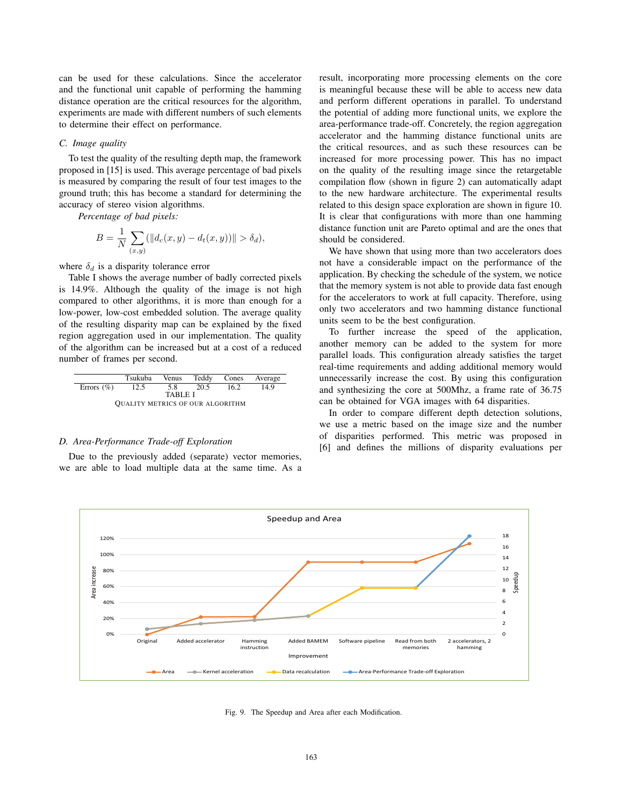can be used for these calculations. Since the accelerator and the functional unit capable of performing the hamming distance operation are the critical resources for the algorithm, experiments are made with different numbers of such elements to determine their effect on performance.

### *C. Image quality*

To test the quality of the resulting depth map, the framework proposed in [15] is used. This average percentage of bad pixels is measured by comparing the result of four test images to the ground truth; this has become a standard for determining the accuracy of stereo vision algorithms.

*Percentage of bad pixels:*

$$
B = \frac{1}{N} \sum_{(x,y)} (\|d_c(x,y) - d_t(x,y))\| > \delta_d),
$$

where  $\delta_d$  is a disparity tolerance error

Table I shows the average number of badly corrected pixels is 14.9%. Although the quality of the image is not high compared to other algorithms, it is more than enough for a low-power, low-cost embedded solution. The average quality of the resulting disparity map can be explained by the fixed region aggregation used in our implementation. The quality of the algorithm can be increased but at a cost of a reduced number of frames per second.

|                                         | Tsukuba | Venus | Teddy | Cones | Average |  |  |
|-----------------------------------------|---------|-------|-------|-------|---------|--|--|
| Errors $(\% )$                          | 12.5    | 58    | 20.5  | 16.2  | 14.9    |  |  |
| <b>TABLE I</b>                          |         |       |       |       |         |  |  |
| <b>QUALITY METRICS OF OUR ALGORITHM</b> |         |       |       |       |         |  |  |

# *D. Area-Performance Trade-off Exploration*

Due to the previously added (separate) vector memories, we are able to load multiple data at the same time. As a

result, incorporating more processing elements on the core is meaningful because these will be able to access new data and perform different operations in parallel. To understand the potential of adding more functional units, we explore the area-performance trade-off. Concretely, the region aggregation accelerator and the hamming distance functional units are the critical resources, and as such these resources can be increased for more processing power. This has no impact on the quality of the resulting image since the retargetable compilation flow (shown in figure 2) can automatically adapt to the new hardware architecture. The experimental results related to this design space exploration are shown in figure 10. It is clear that configurations with more than one hamming distance function unit are Pareto optimal and are the ones that should be considered.

We have shown that using more than two accelerators does not have a considerable impact on the performance of the application. By checking the schedule of the system, we notice that the memory system is not able to provide data fast enough for the accelerators to work at full capacity. Therefore, using only two accelerators and two hamming distance functional units seem to be the best configuration.

To further increase the speed of the application, another memory can be added to the system for more parallel loads. This configuration already satisfies the target real-time requirements and adding additional memory would unnecessarily increase the cost. By using this configuration and synthesizing the core at 500Mhz, a frame rate of 36.75 can be obtained for VGA images with 64 disparities.

In order to compare different depth detection solutions, we use a metric based on the image size and the number of disparities performed. This metric was proposed in [6] and defines the millions of disparity evaluations per



Fig. 9. The Speedup and Area after each Modification.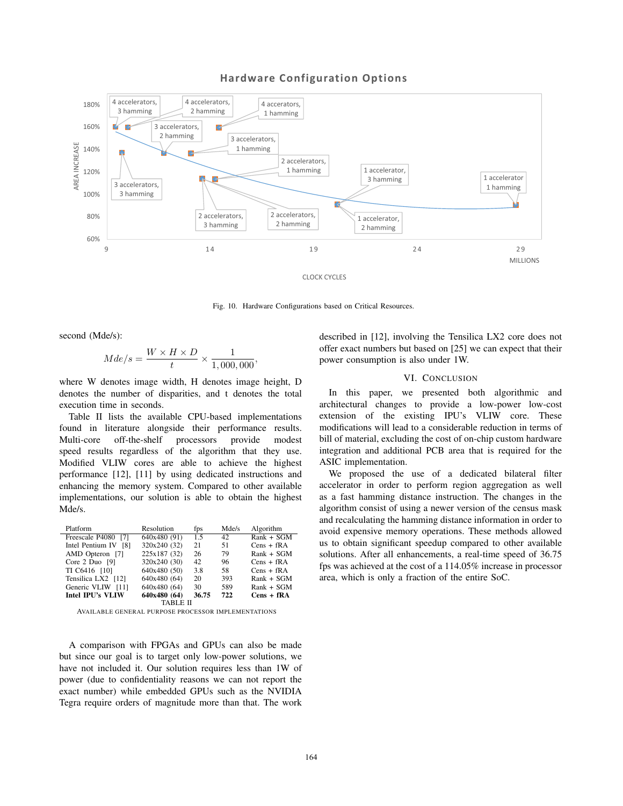

# **Hardware Configuration Options**

Fig. 10. Hardware Configurations based on Critical Resources.

second (Mde/s):

$$
Mde/s = \frac{W \times H \times D}{t} \times \frac{1}{1,000,000},
$$

where W denotes image width, H denotes image height, D denotes the number of disparities, and t denotes the total execution time in seconds.

Table II lists the available CPU-based implementations found in literature alongside their performance results. Multi-core off-the-shelf processors provide modest speed results regardless of the algorithm that they use. Modified VLIW cores are able to achieve the highest performance [12], [11] by using dedicated instructions and enhancing the memory system. Compared to other available implementations, our solution is able to obtain the highest Mde/s.

| Platform             | Resolution   | fps              | Mde/s | Algorithm    |  |  |  |
|----------------------|--------------|------------------|-------|--------------|--|--|--|
| Freescale P4080 [7]  | 640x480 (91) | $\overline{1.5}$ | 42    | $Rank + SGM$ |  |  |  |
| Intel Pentium IV [8] | 320x240 (32) | 21               | 51    | $Cens + fRA$ |  |  |  |
| AMD Opteron [7]      | 225x187 (32) | 26               | 79    | $Rank + SGM$ |  |  |  |
| Core 2 Duo [9]       | 320x240 (30) | 42               | 96    | $Cens + fRA$ |  |  |  |
| TI C6416 [10]        | 640x480 (50) | 3.8              | 58.   | $Cens + fRA$ |  |  |  |
| Tensilica LX2 [12]   | 640x480 (64) | 20               | 393   | $Rank + SGM$ |  |  |  |
| Generic VLIW [11]    | 640x480 (64) | 30               | 589   | $Rank + SGM$ |  |  |  |
| Intel IPU's VLIW     | 640x480 (64) | 36.75            | 722   | $Cens + fRA$ |  |  |  |
| TARLE II             |              |                  |       |              |  |  |  |

AVAILABLE GENERAL PURPOSE PROCESSOR IMPLEMENTATIONS

A comparison with FPGAs and GPUs can also be made but since our goal is to target only low-power solutions, we have not included it. Our solution requires less than 1W of power (due to confidentiality reasons we can not report the exact number) while embedded GPUs such as the NVIDIA Tegra require orders of magnitude more than that. The work described in [12], involving the Tensilica LX2 core does not offer exact numbers but based on [25] we can expect that their power consumption is also under 1W.

#### VI. CONCLUSION

In this paper, we presented both algorithmic and architectural changes to provide a low-power low-cost extension of the existing IPU's VLIW core. These modifications will lead to a considerable reduction in terms of bill of material, excluding the cost of on-chip custom hardware integration and additional PCB area that is required for the ASIC implementation.

We proposed the use of a dedicated bilateral filter accelerator in order to perform region aggregation as well as a fast hamming distance instruction. The changes in the algorithm consist of using a newer version of the census mask and recalculating the hamming distance information in order to avoid expensive memory operations. These methods allowed us to obtain significant speedup compared to other available solutions. After all enhancements, a real-time speed of 36.75 fps was achieved at the cost of a 114.05% increase in processor area, which is only a fraction of the entire SoC.